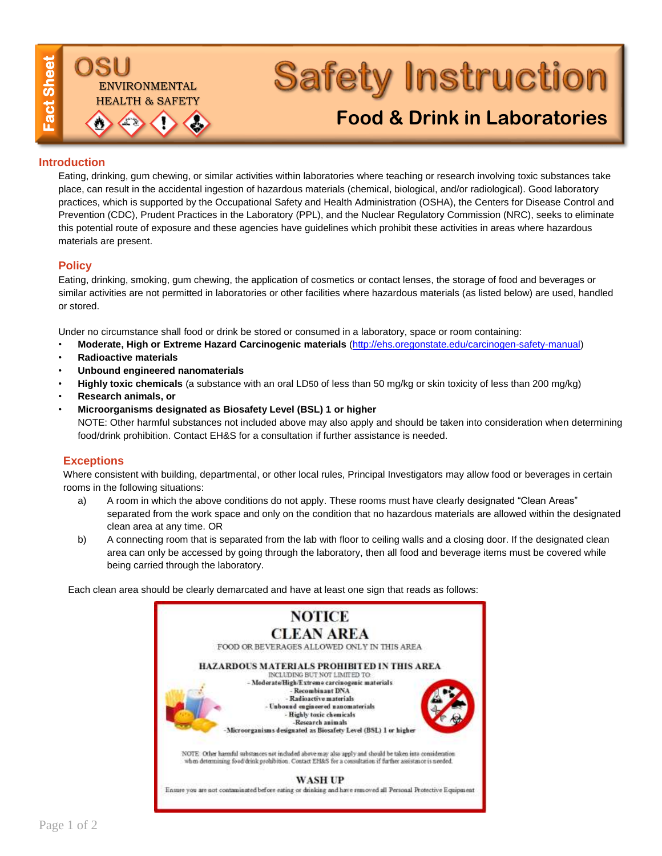

# **Safety Instruction**

## **[Food & Drink in Laboratories](http://oregonstate.edu/ehs/safety-instructions)**

#### **Introduction**

Eating, drinking, gum chewing, or similar activities within laboratories where teaching or research involving toxic substances take place, can result in the accidental ingestion of hazardous materials (chemical, biological, and/or radiological). Good laboratory practices, which is supported by the Occupational Safety and Health Administration (OSHA), the Centers for Disease Control and Prevention (CDC), Prudent Practices in the Laboratory (PPL), and the Nuclear Regulatory Commission (NRC), seeks to eliminate this potential route of exposure and these agencies have guidelines which prohibit these activities in areas where hazardous materials are present.

#### **Policy**

Eating, drinking, smoking, gum chewing, the application of cosmetics or contact lenses, the storage of food and beverages or similar activities are not permitted in laboratories or other facilities where hazardous materials (as listed below) are used, handled or stored.

Under no circumstance shall food or drink be stored or consumed in a laboratory, space or room containing:

- **Moderate, High or Extreme Hazard Carcinogenic materials** [\(http://ehs.oregonstate.edu/carcinogen-safety-manual\)](http://ehs.oregonstate.edu/carcinogen-safety-manual)
- **Radioactive materials**
- **Unbound engineered nanomaterials**
- **Highly toxic chemicals** (a substance with an oral LD50 of less than 50 mg/kg or skin toxicity of less than 200 mg/kg)
- **Research animals, or**
- **Microorganisms designated as Biosafety Level (BSL) 1 or higher** NOTE: Other harmful substances not included above may also apply and should be taken into consideration when determining food/drink prohibition. Contact EH&S for a consultation if further assistance is needed.

#### **Exceptions**

Where consistent with building, departmental, or other local rules, Principal Investigators may allow food or beverages in certain rooms in the following situations:

- a) A room in which the above conditions do not apply. These rooms must have clearly designated "Clean Areas" separated from the work space and only on the condition that no hazardous materials are allowed within the designated clean area at any time. OR
- b) A connecting room that is separated from the lab with floor to ceiling walls and a closing door. If the designated clean area can only be accessed by going through the laboratory, then all food and beverage items must be covered while being carried through the laboratory.

Each clean area should be clearly demarcated and have at least one sign that reads as follows: